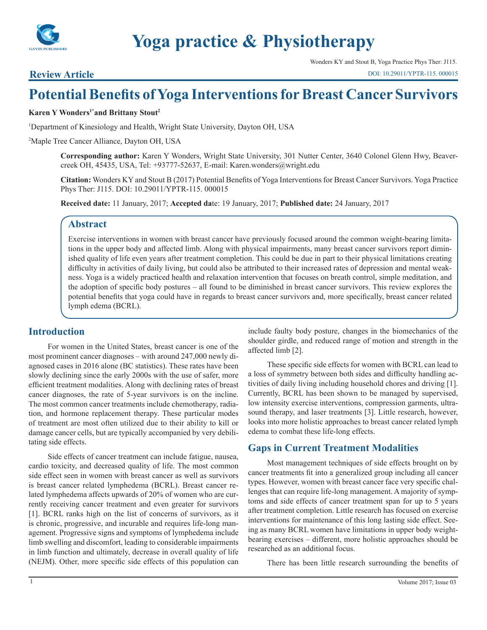

# **Review Article**

Wonders KY and Stout B, Yoga Practice Phys Ther: J115. [DOI: 10.29011/YPTR-115. 000015](http://doi.org/10.29011/YPTR-115. 000015)

# **Potential Benefits of Yoga Interventions for Breast Cancer Survivors**

#### **Karen Y Wonders1\*and Brittany Stout<sup>2</sup>**

1 Department of Kinesiology and Health, Wright State University, Dayton OH, USA

2 Maple Tree Cancer Alliance, Dayton OH, USA

**Corresponding author:** Karen Y Wonders, Wright State University, 301 Nutter Center, 3640 Colonel Glenn Hwy, Beavercreek OH, 45435, USA, Tel: +93777-52637, E-mail: Karen.wonders@wright.edu

**Citation:** Wonders KY and Stout B (2017) Potential Benefits of Yoga Interventions for Breast Cancer Survivors. Yoga Practice Phys Ther: J115. DOI: 10.29011/YPTR-115. 000015

**Received date:** 11 January, 2017; **Accepted da**te: 19 January, 2017; **Published date:** 24 January, 2017

## **Abstract**

Exercise interventions in women with breast cancer have previously focused around the common weight-bearing limitations in the upper body and affected limb. Along with physical impairments, many breast cancer survivors report diminished quality of life even years after treatment completion. This could be due in part to their physical limitations creating difficulty in activities of daily living, but could also be attributed to their increased rates of depression and mental weakness. Yoga is a widely practiced health and relaxation intervention that focuses on breath control, simple meditation, and the adoption of specific body postures – all found to be diminished in breast cancer survivors. This review explores the potential benefits that yoga could have in regards to breast cancer survivors and, more specifically, breast cancer related lymph edema (BCRL).

## **Introduction**

For women in the United States, breast cancer is one of the most prominent cancer diagnoses – with around 247,000 newly diagnosed cases in 2016 alone (BC statistics). These rates have been slowly declining since the early 2000s with the use of safer, more efficient treatment modalities. Along with declining rates of breast cancer diagnoses, the rate of 5-year survivors is on the incline. The most common cancer treatments include chemotherapy, radiation, and hormone replacement therapy. These particular modes of treatment are most often utilized due to their ability to kill or damage cancer cells, but are typically accompanied by very debilitating side effects.

Side effects of cancer treatment can include fatigue, nausea, cardio toxicity, and decreased quality of life. The most common side effect seen in women with breast cancer as well as survivors is breast cancer related lymphedema (BCRL). Breast cancer related lymphedema affects upwards of 20% of women who are currently receiving cancer treatment and even greater for survivors [1]. BCRL ranks high on the list of concerns of survivors, as it is chronic, progressive, and incurable and requires life-long management. Progressive signs and symptoms of lymphedema include limb swelling and discomfort, leading to considerable impairments in limb function and ultimately, decrease in overall quality of life (NEJM). Other, more specific side effects of this population can

include faulty body posture, changes in the biomechanics of the shoulder girdle, and reduced range of motion and strength in the affected limb [2].

These specific side effects for women with BCRL can lead to a loss of symmetry between both sides and difficulty handling activities of daily living including household chores and driving [1]. Currently, BCRL has been shown to be managed by supervised, low intensity exercise interventions, compression garments, ultrasound therapy, and laser treatments [3]. Little research, however, looks into more holistic approaches to breast cancer related lymph edema to combat these life-long effects.

## **Gaps in Current Treatment Modalities**

Most management techniques of side effects brought on by cancer treatments fit into a generalized group including all cancer types. However, women with breast cancer face very specific challenges that can require life-long management. A majority of symptoms and side effects of cancer treatment span for up to 5 years after treatment completion. Little research has focused on exercise interventions for maintenance of this long lasting side effect. Seeing as many BCRL women have limitations in upper body weightbearing exercises – different, more holistic approaches should be researched as an additional focus.

There has been little research surrounding the benefits of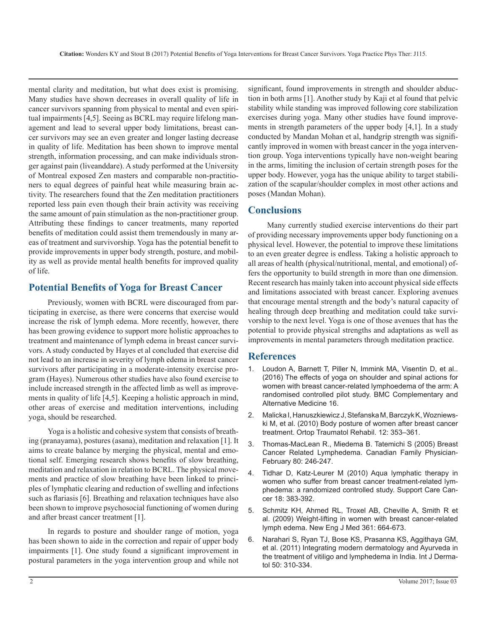mental clarity and meditation, but what does exist is promising. Many studies have shown decreases in overall quality of life in cancer survivors spanning from physical to mental and even spiritual impairments [4,5]. Seeing as BCRL may require lifelong management and lead to several upper body limitations, breast cancer survivors may see an even greater and longer lasting decrease in quality of life. Meditation has been shown to improve mental strength, information processing, and can make individuals stronger against pain (liveanddare). A study performed at the University of Montreal exposed Zen masters and comparable non-practitioners to equal degrees of painful heat while measuring brain activity. The researchers found that the Zen meditation practitioners reported less pain even though their brain activity was receiving the same amount of pain stimulation as the non-practitioner group. Attributing these findings to cancer treatments, many reported benefits of meditation could assist them tremendously in many areas of treatment and survivorship. Yoga has the potential benefit to provide improvements in upper body strength, posture, and mobility as well as provide mental health benefits for improved quality of life.

### **Potential Benefits of Yoga for Breast Cancer**

Previously, women with BCRL were discouraged from participating in exercise, as there were concerns that exercise would increase the risk of lymph edema. More recently, however, there has been growing evidence to support more holistic approaches to treatment and maintenance of lymph edema in breast cancer survivors. A study conducted by Hayes et al concluded that exercise did not lead to an increase in severity of lymph edema in breast cancer survivors after participating in a moderate-intensity exercise program (Hayes). Numerous other studies have also found exercise to include increased strength in the affected limb as well as improvements in quality of life [4,5]. Keeping a holistic approach in mind, other areas of exercise and meditation interventions, including yoga, should be researched.

Yoga is a holistic and cohesive system that consists of breathing (pranayama), postures (asana), meditation and relaxation [1]. It aims to create balance by merging the physical, mental and emotional self. Emerging research shows benefits of slow breathing, meditation and relaxation in relation to BCRL. The physical movements and practice of slow breathing have been linked to principles of lymphatic clearing and reduction of swelling and infections such as flariasis [6]. Breathing and relaxation techniques have also been shown to improve psychosocial functioning of women during and after breast cancer treatment [1].

In regards to posture and shoulder range of motion, yoga has been shown to aide in the correction and repair of upper body impairments [1]. One study found a significant improvement in postural parameters in the yoga intervention group and while not significant, found improvements in strength and shoulder abduction in both arms [1]. Another study by Kaji et al found that pelvic stability while standing was improved following core stabilization exercises during yoga. Many other studies have found improvements in strength parameters of the upper body [4,1]. In a study conducted by Mandan Mohan et al, handgrip strength was significantly improved in women with breast cancer in the yoga intervention group. Yoga interventions typically have non-weight bearing in the arms, limiting the inclusion of certain strength poses for the upper body. However, yoga has the unique ability to target stabilization of the scapular/shoulder complex in most other actions and poses (Mandan Mohan).

#### **Conclusions**

Many currently studied exercise interventions do their part of providing necessary improvements upper body functioning on a physical level. However, the potential to improve these limitations to an even greater degree is endless. Taking a holistic approach to all areas of health (physical/nutritional, mental, and emotional) offers the opportunity to build strength in more than one dimension. Recent research has mainly taken into account physical side effects and limitations associated with breast cancer. Exploring avenues that encourage mental strength and the body's natural capacity of healing through deep breathing and meditation could take survivorship to the next level. Yoga is one of those avenues that has the potential to provide physical strengths and adaptations as well as improvements in mental parameters through meditation practice.

#### **References**

- 1. [Loudon A, Barnett T, Piller N, Immink MA, Visentin D, et al..](https://bmccomplementalternmed.biomedcentral.com/articles/10.1186/s12906-016-1330-7)  (2016) The effects of yoga on shoulder and spinal actions fo[r](https://bmccomplementalternmed.biomedcentral.com/articles/10.1186/s12906-016-1330-7)  [women with breast cancer-related lymphoedema of the arm: A](https://bmccomplementalternmed.biomedcentral.com/articles/10.1186/s12906-016-1330-7)  [randomised controlled pilot study. BMC Complementary and](https://bmccomplementalternmed.biomedcentral.com/articles/10.1186/s12906-016-1330-7)  [Alternative Medicine 16.](https://bmccomplementalternmed.biomedcentral.com/articles/10.1186/s12906-016-1330-7)
- 2. [Malicka I, Hanuszkiewicz J, Stefanska M, Barczyk K, Wozniews](https://www.ncbi.nlm.nih.gov/pubmed/20876929)ki M, et al. (2010) Body posture of women after breast cancer [treatment. Ortop Traumatol Rehabil. 12: 353–361.](https://www.ncbi.nlm.nih.gov/pubmed/20876929)
- 3. [Thomas-MacLean R., Miedema B. Tatemichi S \(2005\) Breast](https://www.ncbi.nlm.nih.gov/pubmed/16295027)  Cancer Related Lymphedema. Canadian Family Physician-[February 80: 246-247.](https://www.ncbi.nlm.nih.gov/pubmed/16295027)
- 4. [Tidhar D, Katz-Leurer M \(2010\) Aqua lymphatic therapy in](https://www.ncbi.nlm.nih.gov/pubmed/19495810)  women who suffer from breast cancer treatment-related lym[phedema: a randomized controlled study. Support Care Can](https://www.ncbi.nlm.nih.gov/pubmed/19495810)[cer 18: 383-392.](https://www.ncbi.nlm.nih.gov/pubmed/19495810)
- 5. [Schmitz KH, Ahmed RL, Troxel AB, Cheville A, Smith R et](https://www.ncbi.nlm.nih.gov/pubmed/19675330)  al. (2009) Weight-lifting in women with breast cancer-related [lymph edema. New Eng J Med 361: 664-673.](https://www.ncbi.nlm.nih.gov/pubmed/19675330)
- 6. [Narahari S, Ryan TJ, Bose KS, Prasanna KS, Aggithaya GM,](https://www.ncbi.nlm.nih.gov/pubmed/21342165)  et al. (2011) Integrating modern dermatology and Ayurveda in [the treatment of vitiligo and lymphedema in India. Int J Derma](https://www.ncbi.nlm.nih.gov/pubmed/21342165)[tol 50: 310-334.](https://www.ncbi.nlm.nih.gov/pubmed/21342165)